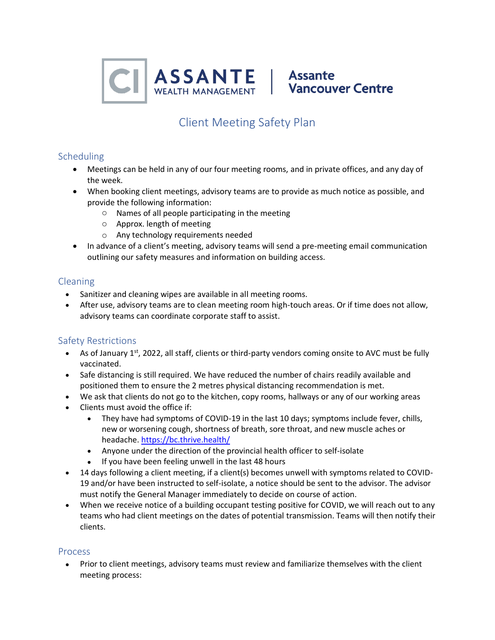

# Client Meeting Safety Plan

# Scheduling

- Meetings can be held in any of our four meeting rooms, and in private offices, and any day of the week.
- When booking client meetings, advisory teams are to provide as much notice as possible, and provide the following information:
	- o Names of all people participating in the meeting
	- o Approx. length of meeting
	- o Any technology requirements needed
- In advance of a client's meeting, advisory teams will send a pre-meeting email communication outlining our safety measures and information on building access.

### Cleaning

- Sanitizer and cleaning wipes are available in all meeting rooms.
- After use, advisory teams are to clean meeting room high-touch areas. Or if time does not allow, advisory teams can coordinate corporate staff to assist.

# Safety Restrictions

- As of January 1<sup>st</sup>, 2022, all staff, clients or third-party vendors coming onsite to AVC must be fully vaccinated.
- Safe distancing is still required. We have reduced the number of chairs readily available and positioned them to ensure the 2 metres physical distancing recommendation is met.
- We ask that clients do not go to the kitchen, copy rooms, hallways or any of our working areas
- Clients must avoid the office if:
	- They have had symptoms of COVID-19 in the last 10 days; symptoms include fever, chills, new or worsening cough, shortness of breath, sore throat, and new muscle aches or headache[. https://bc.thrive.health/](https://bc.thrive.health/)
	- Anyone under the direction of the provincial health officer to self-isolate
	- If you have been feeling unwell in the last 48 hours
- 14 days following a client meeting, if a client(s) becomes unwell with symptoms related to COVID-19 and/or have been instructed to self-isolate, a notice should be sent to the advisor. The advisor must notify the General Manager immediately to decide on course of action.
- When we receive notice of a building occupant testing positive for COVID, we will reach out to any teams who had client meetings on the dates of potential transmission. Teams will then notify their clients.

#### Process

• Prior to client meetings, advisory teams must review and familiarize themselves with the client meeting process: